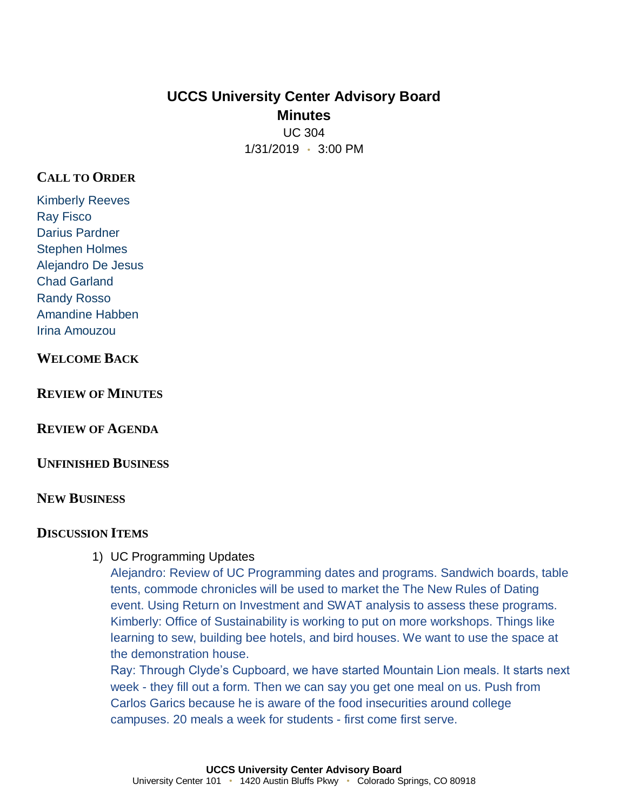# **UCCS University Center Advisory Board Minutes** UC 304

1/31/2019 • 3:00 PM

## **CALL TO ORDER**

Kimberly Reeves Ray Fisco Darius Pardner Stephen Holmes Alejandro De Jesus Chad Garland Randy Rosso Amandine Habben Irina Amouzou

### **WELCOME BACK**

**REVIEW OF MINUTES**

**REVIEW OF AGENDA**

**UNFINISHED BUSINESS**

#### **NEW BUSINESS**

#### **DISCUSSION ITEMS**

1) UC Programming Updates

Alejandro: Review of UC Programming dates and programs. Sandwich boards, table tents, commode chronicles will be used to market the The New Rules of Dating event. Using Return on Investment and SWAT analysis to assess these programs. Kimberly: Office of Sustainability is working to put on more workshops. Things like learning to sew, building bee hotels, and bird houses. We want to use the space at the demonstration house.

Ray: Through Clyde's Cupboard, we have started Mountain Lion meals. It starts next week - they fill out a form. Then we can say you get one meal on us. Push from Carlos Garics because he is aware of the food insecurities around college campuses. 20 meals a week for students - first come first serve.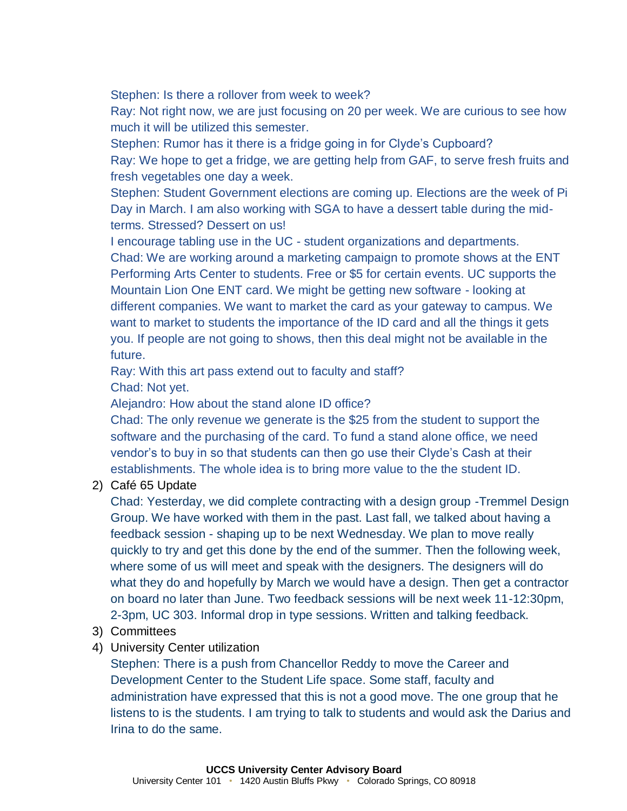Stephen: Is there a rollover from week to week?

Ray: Not right now, we are just focusing on 20 per week. We are curious to see how much it will be utilized this semester.

Stephen: Rumor has it there is a fridge going in for Clyde's Cupboard? Ray: We hope to get a fridge, we are getting help from GAF, to serve fresh fruits and fresh vegetables one day a week.

Stephen: Student Government elections are coming up. Elections are the week of Pi Day in March. I am also working with SGA to have a dessert table during the midterms. Stressed? Dessert on us!

I encourage tabling use in the UC - student organizations and departments.

Chad: We are working around a marketing campaign to promote shows at the ENT Performing Arts Center to students. Free or \$5 for certain events. UC supports the Mountain Lion One ENT card. We might be getting new software - looking at different companies. We want to market the card as your gateway to campus. We want to market to students the importance of the ID card and all the things it gets you. If people are not going to shows, then this deal might not be available in the future.

Ray: With this art pass extend out to faculty and staff? Chad: Not yet.

Alejandro: How about the stand alone ID office?

Chad: The only revenue we generate is the \$25 from the student to support the software and the purchasing of the card. To fund a stand alone office, we need vendor's to buy in so that students can then go use their Clyde's Cash at their establishments. The whole idea is to bring more value to the the student ID.

2) Café 65 Update

Chad: Yesterday, we did complete contracting with a design group -Tremmel Design Group. We have worked with them in the past. Last fall, we talked about having a feedback session - shaping up to be next Wednesday. We plan to move really quickly to try and get this done by the end of the summer. Then the following week, where some of us will meet and speak with the designers. The designers will do what they do and hopefully by March we would have a design. Then get a contractor on board no later than June. Two feedback sessions will be next week 11-12:30pm, 2-3pm, UC 303. Informal drop in type sessions. Written and talking feedback.

- 3) Committees
- 4) University Center utilization

Stephen: There is a push from Chancellor Reddy to move the Career and Development Center to the Student Life space. Some staff, faculty and administration have expressed that this is not a good move. The one group that he listens to is the students. I am trying to talk to students and would ask the Darius and Irina to do the same.